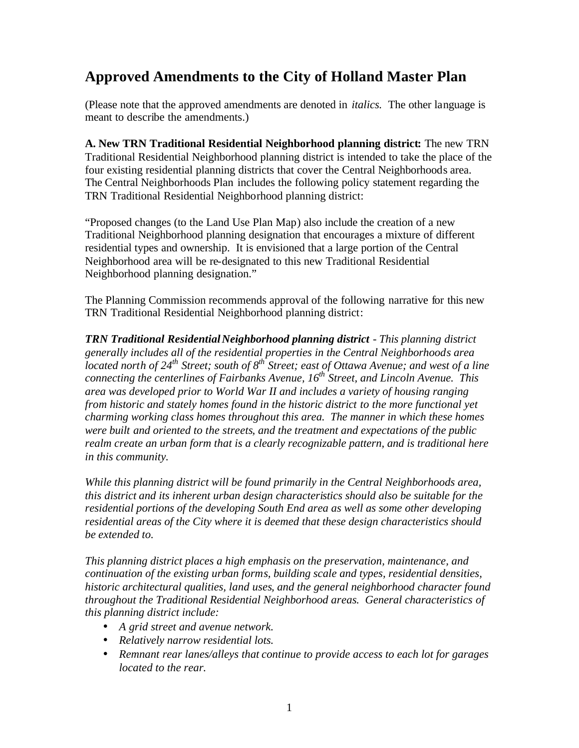## **Approved Amendments to the City of Holland Master Plan**

(Please note that the approved amendments are denoted in *italics.* The other language is meant to describe the amendments.)

**A. New TRN Traditional Residential Neighborhood planning district:** The new TRN Traditional Residential Neighborhood planning district is intended to take the place of the four existing residential planning districts that cover the Central Neighborhoods area. The Central Neighborhoods Plan includes the following policy statement regarding the TRN Traditional Residential Neighborhood planning district:

"Proposed changes (to the Land Use Plan Map) also include the creation of a new Traditional Neighborhood planning designation that encourages a mixture of different residential types and ownership. It is envisioned that a large portion of the Central Neighborhood area will be re-designated to this new Traditional Residential Neighborhood planning designation."

The Planning Commission recommends approval of the following narrative for this new TRN Traditional Residential Neighborhood planning district:

*TRN Traditional Residential Neighborhood planning district - This planning district generally includes all of the residential properties in the Central Neighborhoods area located north of 24th Street; south of 8th Street; east of Ottawa Avenue; and west of a line connecting the centerlines of Fairbanks Avenue, 16th Street, and Lincoln Avenue. This area was developed prior to World War II and includes a variety of housing ranging from historic and stately homes found in the historic district to the more functional yet charming working class homes throughout this area. The manner in which these homes were built and oriented to the streets, and the treatment and expectations of the public realm create an urban form that is a clearly recognizable pattern, and is traditional here in this community.* 

*While this planning district will be found primarily in the Central Neighborhoods area, this district and its inherent urban design characteristics should also be suitable for the residential portions of the developing South End area as well as some other developing residential areas of the City where it is deemed that these design characteristics should be extended to.*

*This planning district places a high emphasis on the preservation, maintenance, and continuation of the existing urban forms, building scale and types, residential densities, historic architectural qualities, land uses, and the general neighborhood character found throughout the Traditional Residential Neighborhood areas. General characteristics of this planning district include:* 

- *A grid street and avenue network.*
- *Relatively narrow residential lots.*
- *Remnant rear lanes/alleys that continue to provide access to each lot for garages located to the rear.*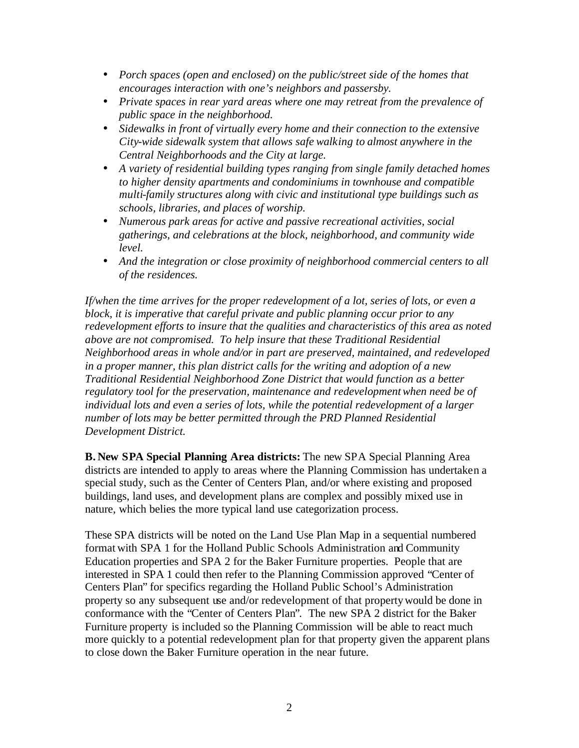- *Porch spaces (open and enclosed) on the public/street side of the homes that encourages interaction with one's neighbors and passersby.*
- *Private spaces in rear yard areas where one may retreat from the prevalence of public space in the neighborhood.*
- *Sidewalks in front of virtually every home and their connection to the extensive City-wide sidewalk system that allows safe walking to almost anywhere in the Central Neighborhoods and the City at large.*
- *A variety of residential building types ranging from single family detached homes to higher density apartments and condominiums in townhouse and compatible multi-family structures along with civic and institutional type buildings such as schools, libraries, and places of worship.*
- *Numerous park areas for active and passive recreational activities, social gatherings, and celebrations at the block, neighborhood, and community wide level.*
- And the integration or close proximity of neighborhood commercial centers to all *of the residences.*

*If/when the time arrives for the proper redevelopment of a lot, series of lots, or even a block, it is imperative that careful private and public planning occur prior to any redevelopment efforts to insure that the qualities and characteristics of this area as noted above are not compromised. To help insure that these Traditional Residential Neighborhood areas in whole and/or in part are preserved, maintained, and redeveloped in a proper manner, this plan district calls for the writing and adoption of a new Traditional Residential Neighborhood Zone District that would function as a better regulatory tool for the preservation, maintenance and redevelopment when need be of individual lots and even a series of lots, while the potential redevelopment of a larger number of lots may be better permitted through the PRD Planned Residential Development District.*

**B. New SPA Special Planning Area districts:** The new SPA Special Planning Area districts are intended to apply to areas where the Planning Commission has undertaken a special study, such as the Center of Centers Plan, and/or where existing and proposed buildings, land uses, and development plans are complex and possibly mixed use in nature, which belies the more typical land use categorization process.

These SPA districts will be noted on the Land Use Plan Map in a sequential numbered format with SPA 1 for the Holland Public Schools Administration and Community Education properties and SPA 2 for the Baker Furniture properties. People that are interested in SPA 1 could then refer to the Planning Commission approved "Center of Centers Plan" for specifics regarding the Holland Public School's Administration property so any subsequent use and/or redevelopment of that property would be done in conformance with the "Center of Centers Plan". The new SPA 2 district for the Baker Furniture property is included so the Planning Commission will be able to react much more quickly to a potential redevelopment plan for that property given the apparent plans to close down the Baker Furniture operation in the near future.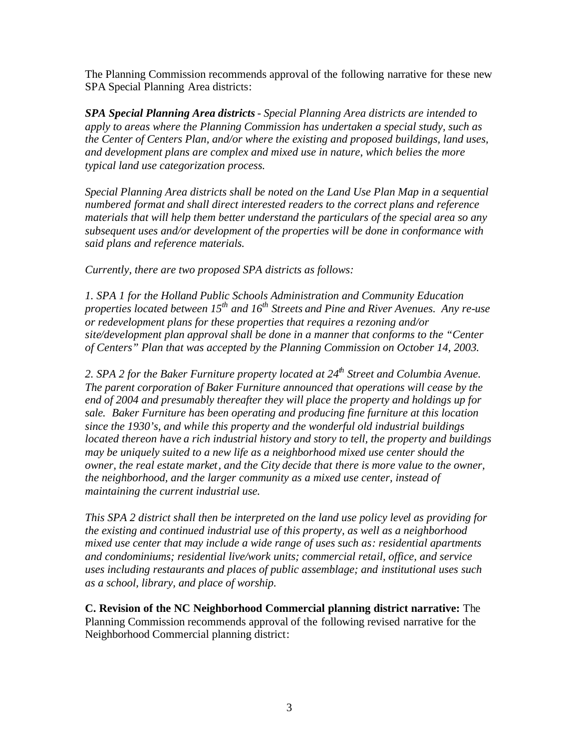The Planning Commission recommends approval of the following narrative for these new SPA Special Planning Area districts:

*SPA Special Planning Area districts- Special Planning Area districts are intended to apply to areas where the Planning Commission has undertaken a special study, such as the Center of Centers Plan, and/or where the existing and proposed buildings, land uses, and development plans are complex and mixed use in nature, which belies the more typical land use categorization process.*

*Special Planning Area districts shall be noted on the Land Use Plan Map in a sequential numbered format and shall direct interested readers to the correct plans and reference materials that will help them better understand the particulars of the special area so any subsequent uses and/or development of the properties will be done in conformance with said plans and reference materials.*

*Currently, there are two proposed SPA districts as follows:*

*1. SPA 1 for the Holland Public Schools Administration and Community Education properties located between 15th and 16th Streets and Pine and River Avenues. Any re-use or redevelopment plans for these properties that requires a rezoning and/or site/development plan approval shall be done in a manner that conforms to the "Center of Centers" Plan that was accepted by the Planning Commission on October 14, 2003.*

*2. SPA 2 for the Baker Furniture property located at 24th Street and Columbia Avenue. The parent corporation of Baker Furniture announced that operations will cease by the end of 2004 and presumably thereafter they will place the property and holdings up for sale. Baker Furniture has been operating and producing fine furniture at this location since the 1930's, and while this property and the wonderful old industrial buildings located thereon have a rich industrial history and story to tell, the property and buildings may be uniquely suited to a new life as a neighborhood mixed use center should the owner, the real estate market, and the City decide that there is more value to the owner, the neighborhood, and the larger community as a mixed use center, instead of maintaining the current industrial use.*

*This SPA 2 district shall then be interpreted on the land use policy level as providing for the existing and continued industrial use of this property, as well as a neighborhood mixed use center that may include a wide range of uses such as: residential apartments and condominiums; residential live/work units; commercial retail, office, and service uses including restaurants and places of public assemblage; and institutional uses such as a school, library, and place of worship.*

**C. Revision of the NC Neighborhood Commercial planning district narrative:** The Planning Commission recommends approval of the following revised narrative for the Neighborhood Commercial planning district: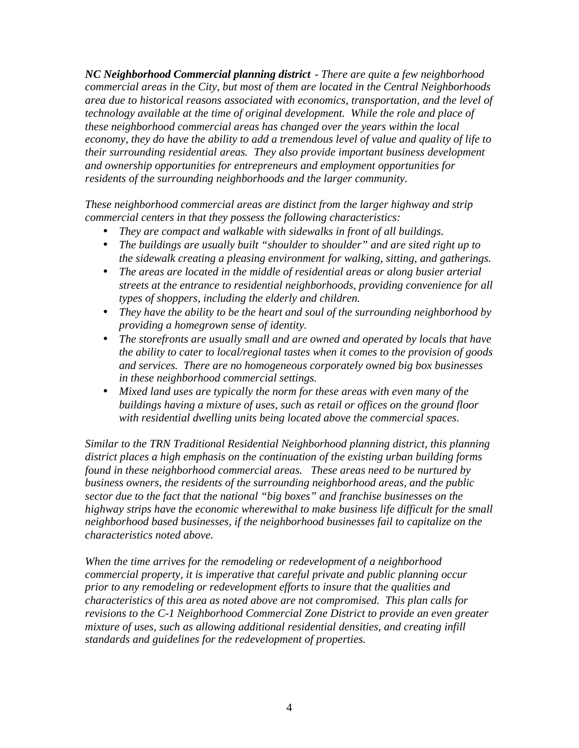*NC Neighborhood Commercial planning district - There are quite a few neighborhood commercial areas in the City, but most of them are located in the Central Neighborhoods area due to historical reasons associated with economics, transportation, and the level of technology available at the time of original development. While the role and place of these neighborhood commercial areas has changed over the years within the local economy, they do have the ability to add a tremendous level of value and quality of life to their surrounding residential areas. They also provide important business development and ownership opportunities for entrepreneurs and employment opportunities for residents of the surrounding neighborhoods and the larger community.*

*These neighborhood commercial areas are distinct from the larger highway and strip commercial centers in that they possess the following characteristics:*

- *They are compact and walkable with sidewalks in front of all buildings.*
- *The buildings are usually built "shoulder to shoulder" and are sited right up to the sidewalk creating a pleasing environment for walking, sitting, and gatherings.*
- *The areas are located in the middle of residential areas or along busier arterial streets at the entrance to residential neighborhoods, providing convenience for all types of shoppers, including the elderly and children.*
- *They have the ability to be the heart and soul of the surrounding neighborhood by providing a homegrown sense of identity.*
- *The storefronts are usually small and are owned and operated by locals that have the ability to cater to local/regional tastes when it comes to the provision of goods and services. There are no homogeneous corporately owned big box businesses in these neighborhood commercial settings.*
- *Mixed land uses are typically the norm for these areas with even many of the buildings having a mixture of uses, such as retail or offices on the ground floor with residential dwelling units being located above the commercial spaces.*

*Similar to the TRN Traditional Residential Neighborhood planning district, this planning district places a high emphasis on the continuation of the existing urban building forms found in these neighborhood commercial areas. These areas need to be nurtured by business owners, the residents of the surrounding neighborhood areas, and the public sector due to the fact that the national "big boxes" and franchise businesses on the highway strips have the economic wherewithal to make business life difficult for the small neighborhood based businesses, if the neighborhood businesses fail to capitalize on the characteristics noted above.*

*When the time arrives for the remodeling or redevelopment of a neighborhood commercial property, it is imperative that careful private and public planning occur prior to any remodeling or redevelopment efforts to insure that the qualities and characteristics of this area as noted above are not compromised. This plan calls for revisions to the C-1 Neighborhood Commercial Zone District to provide an even greater mixture of uses, such as allowing additional residential densities, and creating infill standards and guidelines for the redevelopment of properties.*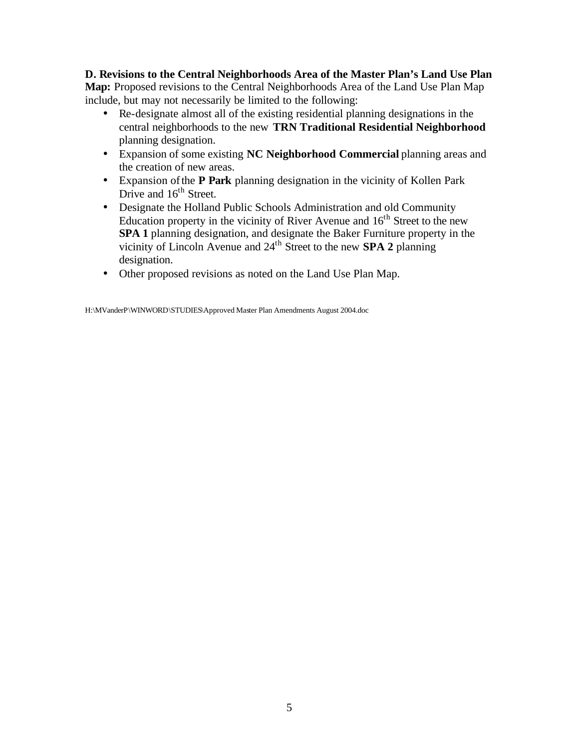**D. Revisions to the Central Neighborhoods Area of the Master Plan's Land Use Plan Map:** Proposed revisions to the Central Neighborhoods Area of the Land Use Plan Map include, but may not necessarily be limited to the following:

- Re-designate almost all of the existing residential planning designations in the central neighborhoods to the new **TRN Traditional Residential Neighborhood** planning designation.
- Expansion of some existing **NC Neighborhood Commercial** planning areas and the creation of new areas.
- Expansion of the **P Park** planning designation in the vicinity of Kollen Park Drive and 16<sup>th</sup> Street.
- Designate the Holland Public Schools Administration and old Community Education property in the vicinity of River Avenue and  $16<sup>th</sup>$  Street to the new **SPA 1** planning designation, and designate the Baker Furniture property in the vicinity of Lincoln Avenue and 24th Street to the new **SPA 2** planning designation.
- Other proposed revisions as noted on the Land Use Plan Map.

H:\MVanderP\WINWORD\STUDIES\Approved Master Plan Amendments August 2004.doc